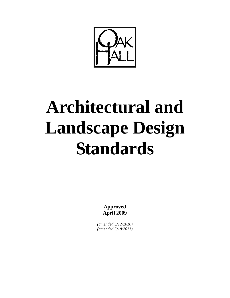

# **Architectural and Landscape Design Standards**

**Approved April 2009** 

*(amended 5/12/2010) (amended 5/18/2011)*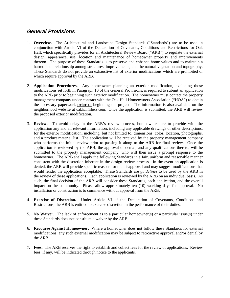### *General Provisions*

- 1. **Overview.** The Architectural and Landscape Design Standards ("Standards") are to be used in conjunction with Article VI of the Declaration of Covenants, Conditions and Restrictions for Oak Hall, which specifically provides for an Architectural Review Board ("ARB") to regulate the external design, appearance, use, location and maintenance of homeowner property and improvements thereon. The purpose of these Standards is to preserve and enhance home values and to maintain a harmonious relationship among structures, improvements, and the natural vegetation and topography. These Standards do not provide an exhaustive list of exterior modifications which are prohibited or which require approval by the ARB.
- 2. **Application Procedures.** Any homeowner planning an exterior modification, excluding those modifications set forth in Paragraph 10 of the General Provisions, is required to submit an application to the ARB prior to beginning such exterior modification. The homeowner must contact the property management company under contract with the Oak Hall Homeowners Association ("HOA") to obtain the necessary paperwork **prior to** beginning the project. The information is also available on the neighborhood website at oakhallfishers.com. Once the application is submitted, the ARB will review the proposed exterior modification.
- 3. **Review.** To avoid delay in the ARB's review process, homeowners are to provide with the application any and all relevant information, including any applicable drawings or other descriptions, for the exterior modification, including, but not limited to, dimensions, color, location, photographs, and a product material list. The application will be received by the property management company who performs the initial review prior to passing it along to the ARB for final review. Once the application is reviewed by the ARB, the approval or denial, and any qualifications thereto, will be submitted to the property management company, who will then issue a prompt response to the homeowner. The ARB shall apply the following Standards in a fair, uniform and reasonable manner consistent with the discretion inherent in the design review process. In the event an application is denied, the ARB will provide specific reasons for the disapproval and may suggest modifications that would render the application acceptable. These Standards are *guidelines* to be used by the ARB in the review of these applications. Each application is reviewed by the ARB on an individual basis. As such, the final decision of the ARB will consider these Standards, each application, and the overall impact on the community. Please allow approximately ten (10) working days for approval. No installation or construction is to commence without approval from the ARB.
- 4. **Exercise of Discretion.** Under Article VI of the Declaration of Covenants, Conditions and Restrictions, the ARB is entitled to exercise discretion in the performance of their duties.
- 5. **No Waiver.** The lack of enforcement as to a particular homeowner(s) or a particular issue(s) under these Standards does not constitute a waiver by the ARB.
- 6. **Recourse Against Homeowner.** Where a homeowner does not follow these Standards for external modifications, any such external modification may be subject to retroactive approval and/or denial by the ARB.
- 7. **Fees.** The ARB reserves the right to establish and collect fees for the review of applications. Review fees, if any, will be indicated through notice to the applicants.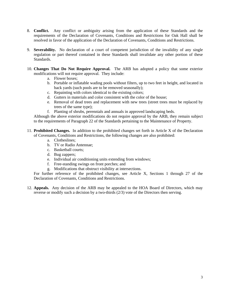- 8. **Conflict.** Any conflict or ambiguity arising from the application of these Standards and the requirements of the Declaration of Covenants, Conditions and Restrictions for Oak Hall shall be resolved in favor of the application of the Declaration of Covenants, Conditions and Restrictions.
- 9. **Severability.** No declaration of a court of competent jurisdiction of the invalidity of any single regulation or part thereof contained in these Standards shall invalidate any other portion of these Standards.
- 10. **Changes That Do Not Require Approval.** The ARB has adopted a policy that some exterior modifications will not require approval. They include:
	- a. Flower boxes;
	- b. Portable or inflatable wading pools without filters, up to two feet in height, and located in back yards (such pools are to be removed seasonally);
	- c. Repainting with colors identical to the existing colors;
	- d. Gutters in materials and color consistent with the color of the house;
	- e. Removal of dead trees and replacement with new trees (street trees must be replaced by trees of the same type);
	- f. Planting of shrubs, perennials and annuals in approved landscaping beds.

Although the above exterior modifications do not require approval by the ARB, they remain subject to the requirements of Paragraph 22 of the Standards pertaining to the Maintenance of Property.

- 11. **Prohibited Changes.** In addition to the prohibited changes set forth in Article X of the Declaration of Covenants, Conditions and Restrictions, the following changes are also prohibited:
	- a. Clotheslines;
	- b. TV or Radio Antennae;
	- c. Basketball courts;
	- d. Bug zappers;
	- e. Individual air conditioning units extending from windows;
	- f. Free-standing swings on front porches; and
	- g. Modifications that obstruct visibility at intersections.

For further reference of the prohibited changes, see Article X, Sections 1 through 27 of the Declaration of Covenants, Conditions and Restrictions.

12. **Appeals.** Any decision of the ARB may be appealed to the HOA Board of Directors, which may reverse or modify such a decision by a two-thirds (2/3) vote of the Directors then serving.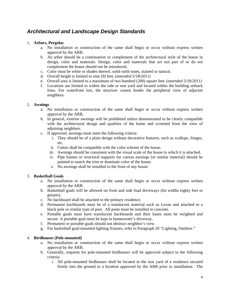## *Architectural and Landscape Design Standards*

#### 1. **Arbors, Pergolas**

- a. No installation or construction of the same shall begin or occur without express written approval by the ARB.
- b. An arbor should be a continuation or complement of the architectural style of the house in design, color and materials. Design, color and materials that are not part of or do not complement the house should not be introduced.
- c. Color must be white or shades thereof, solid earth tones, stained or natural.
- d. Overall height is limited to nine (9) feet. *(amended 5/18/2011)*
- e. Overall area is limited to a maximum of two hundred (200) square feet. *(amended 5/18/2011)*
- f. Locations are limited to within the side or rear yard and located within the building setback lines. For waterfront lots, the structure cannot hinder the peripheral view of adjacent neighbors.

#### 2. **Awnings**

- a. No installation or construction of the same shall begin or occur without express written approval by the ARB.
- b. In general, exterior awnings will be prohibited unless demonstrated to be clearly compatible with the architectural design and qualities of the home and screened from the view of adjoining neighbors.
- c. If approved, awnings must meet the following criteria:
	- i. They should be of a plain design without decorative features, such as scallops, fringes, etc.
	- ii. Colors shall be compatible with the color scheme of the house.
	- iii. Awnings should be consistent with the visual scale of the house to which it is attached.
	- iv. Pipe frames or structural supports for canvas awnings (or similar material) should be painted to match the trim or dominate color of the house.
	- v. No awnings shall be installed to the front of any house.

#### 3. **Basketball Goals**

- a. No installation or construction of the same shall begin or occur without express written approval by the ARB.
- b. Basketball goals will be allowed on front and side load driveways (lot widths eighty feet or greater).
- c. No backboard shall be attached to the primary residence.
- d. Permanent backboards must be of a translucent material such as Lexan and attached to a black pole or similar type of post. All posts must be installed in concrete.
- e. Portable goals must have translucent backboards and their bases must be weighted and secure. A portable goal must be kept in homeowner's driveway.
- f. Permanent or portable goals should not obstruct neighbor's view.
- g. For basketball goal-mounted lighting fixtures, refer to Paragraph 20 "Lighting, Outdoor."

#### 4. **Birdhouses (Pole-mounted)**

- a. No installation or construction of the same shall begin or occur without express written approval by the ARB.
- b. Generally, requests for pole-mounted birdhouses will be approved subject to the following criteria:
	- i. All pole-mounted birdhouses shall be located in the rear yard of a residence secured firmly into the ground in a location approved by the ARB prior to installation. The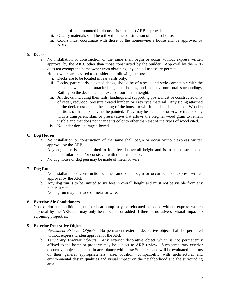height of pole-mounted birdhouses is subject to ARB approval.

- ii. Quality materials shall be utilized in the construction of the birdhouse.
- iii. Colors must coordinate with those of the homeowner's house and be approved by ARB.

#### 5. **Decks**

- a. No installation or construction of the same shall begin or occur without express written approval by the ARB, other than those constructed by the builder. Approval by the ARB does not exempt the homeowner from obtaining any and all necessary permits.
- b. Homeowners are advised to consider the following factors:
	- i. Decks are to be located in rear yards only.
	- ii. Decks, particularly elevated decks, should be of a scale and style compatible with the home to which it is attached, adjacent homes, and the environmental surroundings. Railing on the deck shall not exceed four feet in height.
	- iii. All decks, including their rails, landings and supporting posts, must be constructed only of cedar, redwood, pressure treated lumber, or Trex type material. Any siding attached to the deck must match the siding of the house to which the deck is attached. Wooden portions of the deck may not be painted. They may be stained or otherwise treated only with a transparent stain or preservative that allows the original wood grain to remain visible and that does not change its color to other than that of the types of wood cited.
	- iv. No under deck storage allowed.

#### 6. **Dog Houses**

- a. No installation or construction of the same shall begin or occur without express written approval by the ARB.
- b. Any doghouse is to be limited to four feet in overall height and is to be constructed of material similar to and/or consistent with the main house.
- c. No dog house or dog pen may be made of metal or wire.

#### 7. **Dog Runs**

- a. No installation or construction of the same shall begin or occur without express written approval by the ARB.
- b. Any dog run is to be limited to six feet in overall height and must not be visible from any public street.
- c. No dog run may be made of metal or wire.

#### 8. **Exterior Air Conditioners**

No exterior air conditioning unit or heat pump may be relocated or added without express written approval by the ARB and may only be relocated or added if there is no adverse visual impact to adjoining properties.

#### 9. **Exterior Decorative Objects**

- a. *Permanent Exterior Objects*. No permanent exterior decorative object shall be permitted without express written approval of the ARB.
- b. *Temporary Exterior Objects*. Any exterior decorative object which is not permanently affixed to the home or property may be subject to ARB review. Such temporary exterior decorative objects must be in accordance with these Standards and will be evaluated in terms of their general appropriateness, size, location, compatibility with architectural and environmental design qualities and visual impact on the neighborhood and the surrounding area.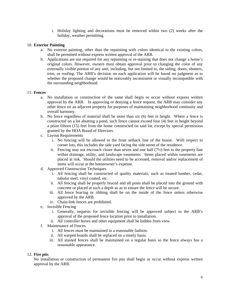i. Holiday lighting and decorations must be removed within two (2) weeks after the holiday, weather permitting.

#### 10. **Exterior Painting**

- a. No exterior painting, other than the repainting with colors identical to the existing colors, shall be permitted without express written approval of the ARB.
- b. Applications are not required for any repainting or re-staining that does not change a home's original colors. However, owners must obtain approval prior to changing the color of any externally visible portion of any unit, including, but not limited to, the siding, doors, shutters, trim, or roofing. The ARB's decision on each application will be based on judgment as to whether the proposed change would be noticeably inconsistent or visually incompatible with the surrounding neighborhood.

#### 11. **Fences**

- a. No installation or construction of the same shall begin or occur without express written approval by the ARB. In approving or denying a fence request, the ARB may consider any other fence on an adjacent property for purposes of maintaining neighborhood continuity and overall harmony.
- b. No fence regardless of material shall be more than six (6) feet in height. Where a fence is constructed on a lot abutting a pond, such fence cannot exceed four (4) feet in height beyond a point fifteen (15) feet from the home constructed on said lot, except by special permission granted by the HOA Board of Directors.
- c. Layout Requirements
	- i. No fencing will be allowed in the front setback line of the house. With respect to corner lots, this includes the side yard facing the side street of the residence.
	- ii. Fencing may not encroach closer than seven and one half  $(7\frac{1}{2})$  feet to the property line within drainage, utility, and landscape easements. Items placed within easements are placed at risk. Should the utilities need to be accessed, removal and/or replacement of items will occur at the homeowner's expense.
- d. Approved Construction Techniques
	- i. All fencing shall be constructed of quality materials, such as treated lumber, cedar, tubular steel, vinyl coated, etc.
	- ii. All fencing shall be properly braced and all posts shall be placed into the ground with concrete or placed at such a depth so as to ensure the fence will be secure.
	- iii. All fence bracing or ribbing shall be on the inside of the fence unless otherwise approved by the ARB.
	- iv. Chain-link fences are prohibited.
- e. Invisible Fencing
	- i. Generally, requests for invisible fencing will be approved subject to the ARB's approval of the proposed fence location prior to installation.
	- ii. All controller boxes and other equipment shall be hidden from view.
- f. Maintenance of Fences
	- i. All fences must be maintained in a reasonable fashion.
	- ii. All warped boards shall be replaced on a timely basis.
	- iii. All stained fences shall be maintained on a regular basis so the fence always has a reasonable appearance.

#### 12. **Fire pits**

No installation or construction of permanent fire pits shall begin or occur without express written approval by the ARB.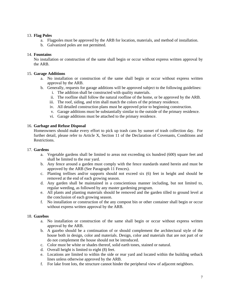#### 13. **Flag Poles**

- a. Flagpoles must be approved by the ARB for location, materials, and method of installation.
- b. Galvanized poles are not permitted.

#### 14. **Fountains**

No installation or construction of the same shall begin or occur without express written approval by the ARB.

#### 15. **Garage Additions**

- a. No installation or construction of the same shall begin or occur without express written approval by the ARB.
- b. Generally, requests for garage additions will be approved subject to the following guidelines:
	- i. The addition shall be constructed with quality materials.
	- ii. The roofline shall follow the natural roofline of the home, or be approved by the ARB.
	- iii. The roof, siding, and trim shall match the colors of the primary residence.
	- iv. All detailed construction plans must be approved prior to beginning construction.
	- v. Garage additions must be substantially similar to the outside of the primary residence.
	- vi. Garage additions must be attached to the primary residence.

#### 16. **Garbage and Refuse Disposal**

Homeowners should make every effort to pick up trash cans by sunset of trash collection day. For further detail, please refer to Article X, Section 11 of the Declaration of Covenants, Conditions and Restrictions.

#### 17. **Gardens**

- a. Vegetable gardens shall be limited to areas not exceeding six hundred (600) square feet and shall be limited to the rear yard.
- b. Any fence around a garden must comply with the fence standards stated herein and must be approved by the ARB (See Paragraph 11 Fences).
- c. Planting trellises and/or supports should not exceed six (6) feet in height and should be removed at the end of each growing season.
- d. Any garden shall be maintained in a conscientious manner including, but not limited to, regular weeding, as followed by any master gardening program.
- e. All plants and planting materials should be removed and the garden tilled to ground level at the conclusion of each growing season.
- f. No installation or construction of the any compost bin or other container shall begin or occur without express written approval by the ARB.

#### 18. **Gazebos**

- a. No installation or construction of the same shall begin or occur without express written approval by the ARB.
- b. A gazebo should be a continuation of or should complement the architectural style of the house both in design, color and materials. Design, color and materials that are not part of or do not complement the house should not be introduced.
- c. Color must be white or shades thereof, solid earth tones, stained or natural.
- d. Overall height is limited to eight (8) feet.
- e. Locations are limited to within the side or rear yard and located within the building setback lines unless otherwise approved by the ARB.
- f. For lake front lots, the structure cannot hinder the peripheral view of adjacent neighbors.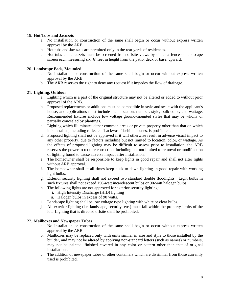#### 19. **Hot Tubs and Jacuzzis**

- a. No installation or construction of the same shall begin or occur without express written approval by the ARB.
- b. Hot tubs and Jacuzzis are permitted only in the rear yards of residences.
- c. Hot tubs and Jacuzzis must be screened from offsite views by either a fence or landscape screen each measuring six (6) feet in height from the patio, deck or base, upward.

#### 20. **Landscape Beds, Mounded**

- a. No installation or construction of the same shall begin or occur without express written approval by the ARB.
- b. The ARB reserves the right to deny any request if it impedes the flow of drainage.

#### 21. **Lighting, Outdoor**

- a. Lighting which is a part of the original structure may not be altered or added to without prior approval of the ARB.
- b. Proposed replacements or additions must be compatible in style and scale with the applicant's house, and applications must include their location, number, style, bulb color, and wattage. Recommended fixtures include low voltage ground-mounted styles that may be wholly or partially concealed by plantings.
- c. Lighting which illuminates either common areas or private property other than that on which it is installed, including reflected "backwash" behind houses, is prohibited.
- d. Proposed lighting shall not be approved if it will otherwise result in adverse visual impact to any other property, due to factors including but not limited to location, color, or wattage. As the effects of proposed lighting may be difficult to assess prior to installation, the ARB reserves the power to require correction, including but not limited to removal or modification of lighting found to cause adverse impact after installation.
- e. The homeowner shall be responsible to keep lights in good repair and shall not alter lights without ARB approval.
- f. The homeowner shall at all times keep dusk to dawn lighting in good repair with working light bulbs.
- g. Exterior security lighting shall not exceed two standard double floodlights. Light bulbs in such fixtures shall not exceed 150-watt incandescent bulbs or 90-watt halogen bulbs.
- h. The following lights are not approved for exterior security lighting:
	- i. High Intensity Discharge (HID) lighting
	- ii. Halogen bulbs in excess of 90 watts.
- i. Landscape lighting shall be low voltage type lighting with white or clear bulbs.
- j. All exterior lighting (i.e. landscape, security, etc.) must fall within the property limits of the lot. Lighting that is directed offsite shall be prohibited.

#### 22. **Mailboxes and Newspaper Tubes**

- a. No installation or construction of the same shall begin or occur without express written approval by the ARB.
- b. Mailboxes may be replaced only with units similar in size and style to those installed by the builder, and may not be altered by applying non-standard letters (such as names) or numbers, may not be painted, finished covered in any color or pattern other than that of original installations.
- c. The addition of newspaper tubes or other containers which are dissimilar from those currently used is prohibited.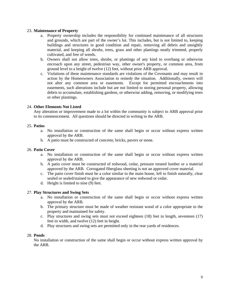#### 23. **Maintenance of Property**

- a. Property ownership includes the responsibility for continued maintenance of all structures and grounds, which are part of the owner's lot. This includes, but is not limited to, keeping buildings and structures in good condition and repair, removing all debris and unsightly material, and keeping all shrubs, trees, grass and other plantings neatly trimmed, properly cultivated, and free of weeds.
- b. Owners shall not allow trees, shrubs, or plantings of any kind to overhang or otherwise encroach upon any street, pedestrian way, other owner's property, or common area, from ground level to a height of twelve (12) feet, without prior ARB approval.
- c. Violations of these maintenance standards are violations of the Covenants and may result in action by the Homeowners Association to remedy the situation. Additionally, owners will not alter any common area or easements. Except for permitted encroachments into easements, such alterations include but are not limited to storing personal property, allowing debris to accumulate, establishing gardens, or otherwise adding, removing, or modifying trees or other plantings.

#### 24. **Other Elements Not Listed**

Any alteration or improvement made to a lot within the community is subject to ARB approval prior to its commencement. All questions should be directed in writing to the ARB.

#### 25. **Patios**

- a. No installation or construction of the same shall begin or occur without express written approval by the ARB.
- b. A patio must be constructed of concrete, bricks, pavers or stone.

#### 26. **Patio Cover**

- a. No installation or construction of the same shall begin or occur without express written approval by the ARB.
- b. A patio cover must be constructed of redwood, cedar, pressure treated lumber or a material approved by the ARB. Corrugated fiberglass sheeting is not an approved cover material.
- c. The patio cover finish must be a color similar to the main house, left to finish naturally, clear sealed or sealed/stained to give the appearance of new redwood or cedar.
- d. Height is limited to nine (9) feet.

#### 27. **Play Structures and Swing Sets**

- a. No installation or construction of the same shall begin or occur without express written approval by the ARB.
- b. The primary structure must be made of weather resistant wood of a color appropriate to the property and maintained for safety.
- c. Play structures and swing sets must not exceed eighteen (18) feet in length, seventeen (17) feet in width, and twelve (12) feet in height.
- d. Play structures and swing sets are permitted only in the rear yards of residences.

#### 28. **Ponds**

No installation or construction of the same shall begin or occur without express written approval by the ARB.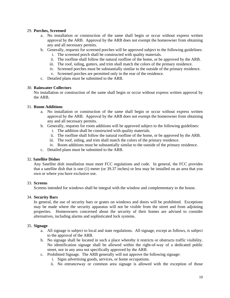#### 29. **Porches, Screened**

- a. No installation or construction of the same shall begin or occur without express written approval by the ARB. Approval by the ARB does not exempt the homeowner from obtaining any and all necessary permits.
- b. Generally, requests for screened porches will be approved subject to the following guidelines:
	- i. The screened porch shall be constructed with quality materials.
	- ii. The roofline shall follow the natural roofline of the home, or be approved by the ARB.
	- iii. The roof, siding, gutters, and trim shall match the colors of the primary residence.
	- iv. Screened porches must be substantially similar to the outside of the primary residence.
	- v. Screened porches are permitted only in the rear of the residence.
- c. Detailed plans must be submitted to the ARB.

#### 30. **Rainwater Collectors**

No installation or construction of the same shall begin or occur without express written approval by the ARB.

#### 31. **Room Additions**

- a. No installation or construction of the same shall begin or occur without express written approval by the ARB. Approval by the ARB does not exempt the homeowner from obtaining any and all necessary permits.
- b. Generally, requests for room additions will be approved subject to the following guidelines:
	- i. The addition shall be constructed with quality materials.
	- ii. The roofline shall follow the natural roofline of the home, or be approved by the ARB.
	- iii. The roof, siding, and trim shall match the colors of the primary residence.
	- iv. Room additions must be substantially similar to the outside of the primary residence.
- c. Detailed plans must be submitted to the ARB.

#### 32. **Satellite Dishes**

Any Satellite dish installation must meet FCC regulations and code. In general, the FCC provides that a satellite dish that is one (1) meter (or 39.37 inches) or less may be installed on an area that you own or where you have exclusive use.

#### 33. **Screens**

Screens intended for windows shall be integral with the window and complementary to the house.

#### 34. **Security Bars**

In general, the use of security bars or grates on windows and doors will be prohibited. Exceptions may be made where the security apparatus will not be visible from the street and from adjoining properties. Homeowners concerned about the security of their homes are advised to consider alternatives, including alarms and sophisticated lock systems.

#### 35. **Signage**

- a. All signage is subject to local and state regulations. All signage, except as follows, is subject to the approval of the ARB.
- b. No signage shall be located in such a place whereby it restricts or obstructs traffic visibility. No identification signage shall be allowed within the right-of-way of a dedicated public street, nor in any area not specifically approved by the ARB.
- c. Prohibited Signage. The ARB generally will not approve the following signage:
	- i. Signs advertising goods, services, or home occupations.
	- ii. No entranceway or common area signage is allowed with the exception of those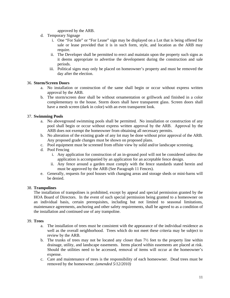approved by the ARB.

- d. Temporary Signage
	- i. One "For Sale" or "For Lease" sign may be displayed on a Lot that is being offered for sale or lease provided that it is in such form, style, and location as the ARB may require.
	- ii. The Developer shall be permitted to erect and maintain upon the property such signs as it deems appropriate to advertise the development during the construction and sale periods.
	- iii. Political signs may only be placed on homeowner's property and must be removed the day after the election.

#### 36. **Storm/Screen Doors**

- a. No installation or construction of the same shall begin or occur without express written approval by the ARB.
- b. The storm/screen door shall be without ornamentation or grillwork and finished in a color complementary to the house. Storm doors shall have transparent glass. Screen doors shall have a mesh screen (dark in color) with an even transparent look.

#### 37. **Swimming Pools**

- a. No aboveground swimming pools shall be permitted. No installation or construction of any pool shall begin or occur without express written approval by the ARB. Approval by the ARB does not exempt the homeowner from obtaining all necessary permits.
- b. No alteration of the existing grade of any lot may be done without prior approval of the ARB. Any proposed grade changes must be shown on proposed plans.
- c. Pool equipment must be screened from offsite view by solid and/or landscape screening.
- d. Pool Fencing
	- i. Any application for construction of an in-ground pool will not be considered unless the application is accompanied by an application for an acceptable fence design.
	- ii. Any fence around a garden must comply with the fence standards stated herein and must be approved by the ARB (See Paragraph 11 Fences).
- e. Generally, requests for pool houses with changing areas and storage sheds or mini-barns will be denied.

#### 38. **Trampolines**

 The installation of trampolines is prohibited, except by appeal and special permission granted by the HOA Board of Directors. In the event of such special permission being granted to a homeowner on an individual basis, certain prerequisites, including but not limited to seasonal limitations, maintenance agreements, anchoring and other safety requirements, shall be agreed to as a condition of the installation and continued use of any trampoline.

#### 39. **Trees**

- a. The installation of trees must be consistent with the appearance of the individual residence as well as the overall neighborhood. Trees which do not meet these criteria may be subject to review by the ARB.
- b. The trunks of trees may not be located any closer than  $7\frac{1}{2}$  feet to the property line within drainage, utility, and landscape easements. Items placed within easements are placed at risk. Should the utilities need to be accessed, removal of items will occur at the homeowner's expense.
- c. Care and maintenance of trees is the responsibility of each homeowner. Dead trees must be removed by the homeowner. *(amended 5/12/2010)*